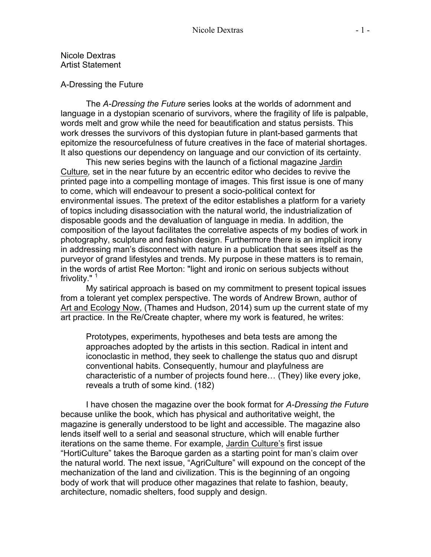Nicole Dextras Artist Statement

## A-Dressing the Future

The *A-Dressing the Future* series looks at the worlds of adornment and language in a dystopian scenario of survivors, where the fragility of life is palpable, words melt and grow while the need for beautification and status persists. This work dresses the survivors of this dystopian future in plant-based garments that epitomize the resourcefulness of future creatives in the face of material shortages. It also questions our dependency on language and our conviction of its certainty.

This new series begins with the launch of a fictional magazine Jardin Culture*,* set in the near future by an eccentric editor who decides to revive the printed page into a compelling montage of images. This first issue is one of many to come, which will endeavour to present a socio-political context for environmental issues. The pretext of the editor establishes a platform for a variety of topics including disassociation with the natural world, the industrialization of disposable goods and the devaluation of language in media. In addition, the composition of the layout facilitates the correlative aspects of my bodies of work in photography, sculpture and fashion design. Furthermore there is an implicit irony in addressing man's disconnect with nature in a publication that sees itself as the purveyor of grand lifestyles and trends. My purpose in these matters is to remain, in the words of artist Ree Morton: "light and ironic on serious subjects without frivolity."<sup>1</sup>

My satirical approach is based on my commitment to present topical issues from a tolerant yet complex perspective. The words of Andrew Brown, author of Art and Ecology Now, (Thames and Hudson, 2014) sum up the current state of my art practice. In the Re/Create chapter, where my work is featured, he writes:

Prototypes, experiments, hypotheses and beta tests are among the approaches adopted by the artists in this section. Radical in intent and iconoclastic in method, they seek to challenge the status quo and disrupt conventional habits. Consequently, humour and playfulness are characteristic of a number of projects found here… (They) like every joke, reveals a truth of some kind. (182)

I have chosen the magazine over the book format for *A-Dressing the Future* because unlike the book, which has physical and authoritative weight, the magazine is generally understood to be light and accessible. The magazine also lends itself well to a serial and seasonal structure, which will enable further iterations on the same theme. For example, Jardin Culture's first issue "HortiCulture" takes the Baroque garden as a starting point for man's claim over the natural world. The next issue, "AgriCulture" will expound on the concept of the mechanization of the land and civilization. This is the beginning of an ongoing body of work that will produce other magazines that relate to fashion, beauty, architecture, nomadic shelters, food supply and design.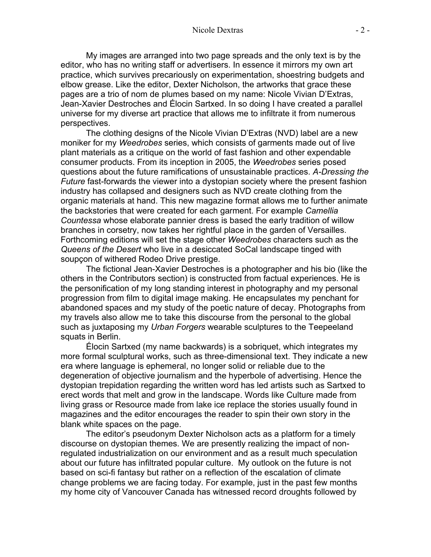My images are arranged into two page spreads and the only text is by the editor, who has no writing staff or advertisers. In essence it mirrors my own art practice, which survives precariously on experimentation, shoestring budgets and elbow grease. Like the editor, Dexter Nicholson, the artworks that grace these pages are a trio of nom de plumes based on my name: Nicole Vivian D'Extras, Jean-Xavier Destroches and Élocin Sartxed. In so doing I have created a parallel universe for my diverse art practice that allows me to infiltrate it from numerous perspectives.

The clothing designs of the Nicole Vivian D'Extras (NVD) label are a new moniker for my *Weedrobes* series, which consists of garments made out of live plant materials as a critique on the world of fast fashion and other expendable consumer products. From its inception in 2005, the *Weedrobes* series posed questions about the future ramifications of unsustainable practices. *A-Dressing the Future* fast-forwards the viewer into a dystopian society where the present fashion industry has collapsed and designers such as NVD create clothing from the organic materials at hand. This new magazine format allows me to further animate the backstories that were created for each garment. For example *Camellia Countessa* whose elaborate pannier dress is based the early tradition of willow branches in corsetry, now takes her rightful place in the garden of Versailles. Forthcoming editions will set the stage other *Weedrobes* characters such as the *Queens of the Desert* who live in a desiccated SoCal landscape tinged with soupçon of withered Rodeo Drive prestige.

The fictional Jean-Xavier Destroches is a photographer and his bio (like the others in the Contributors section) is constructed from factual experiences. He is the personification of my long standing interest in photography and my personal progression from film to digital image making. He encapsulates my penchant for abandoned spaces and my study of the poetic nature of decay. Photographs from my travels also allow me to take this discourse from the personal to the global such as juxtaposing my *Urban Forgers* wearable sculptures to the Teepeeland squats in Berlin.

Élocin Sartxed (my name backwards) is a sobriquet, which integrates my more formal sculptural works, such as three-dimensional text. They indicate a new era where language is ephemeral, no longer solid or reliable due to the degeneration of objective journalism and the hyperbole of advertising. Hence the dystopian trepidation regarding the written word has led artists such as Sartxed to erect words that melt and grow in the landscape. Words like Culture made from living grass or Resource made from lake ice replace the stories usually found in magazines and the editor encourages the reader to spin their own story in the blank white spaces on the page.

The editor's pseudonym Dexter Nicholson acts as a platform for a timely discourse on dystopian themes. We are presently realizing the impact of nonregulated industrialization on our environment and as a result much speculation about our future has infiltrated popular culture. My outlook on the future is not based on sci-fi fantasy but rather on a reflection of the escalation of climate change problems we are facing today. For example, just in the past few months my home city of Vancouver Canada has witnessed record droughts followed by